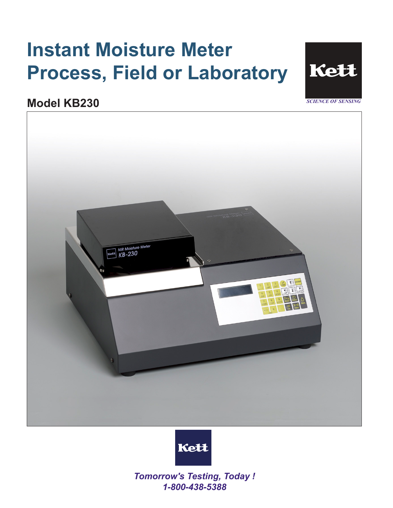# **Instant Moisture Meter Process, Field or Laboratory**



**Model KB230** 





*Tomorrow's Testing, Today ! 1-800-438-5388*